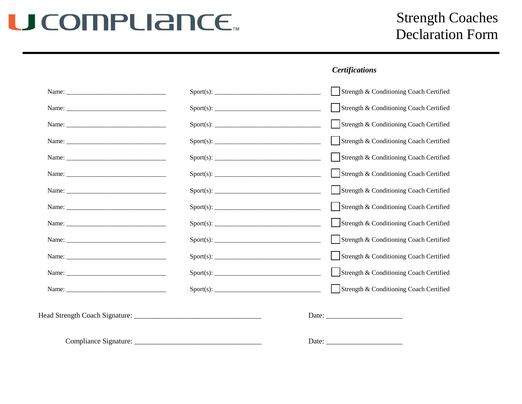## U COMPLIANCE.

### Strength Coaches Declaration Form

#### *Certifications*

|                   | Strength & Conditioning Coach Certified |
|-------------------|-----------------------------------------|
|                   | Strength & Conditioning Coach Certified |
| Spot(s):          | Strength & Conditioning Coach Certified |
|                   | Strength & Conditioning Coach Certified |
| ${\rm Sport}(s):$ | Strength & Conditioning Coach Certified |
|                   | Strength & Conditioning Coach Certified |
|                   | Strength & Conditioning Coach Certified |
|                   | Strength & Conditioning Coach Certified |
| Spot(s):          | Strength & Conditioning Coach Certified |
|                   | Strength & Conditioning Coach Certified |
|                   | Strength & Conditioning Coach Certified |
| ${\rm Sport}(s):$ | Strength & Conditioning Coach Certified |
| Spot(s):          | Strength & Conditioning Coach Certified |

Compliance Signature: \_\_\_\_\_\_\_\_\_\_\_\_\_\_\_\_\_\_\_\_\_\_\_\_\_\_\_\_\_\_\_\_\_\_\_ Date: \_\_\_\_\_\_\_\_\_\_\_\_\_\_\_\_\_\_\_\_\_

| Date: J |  |
|---------|--|
|         |  |